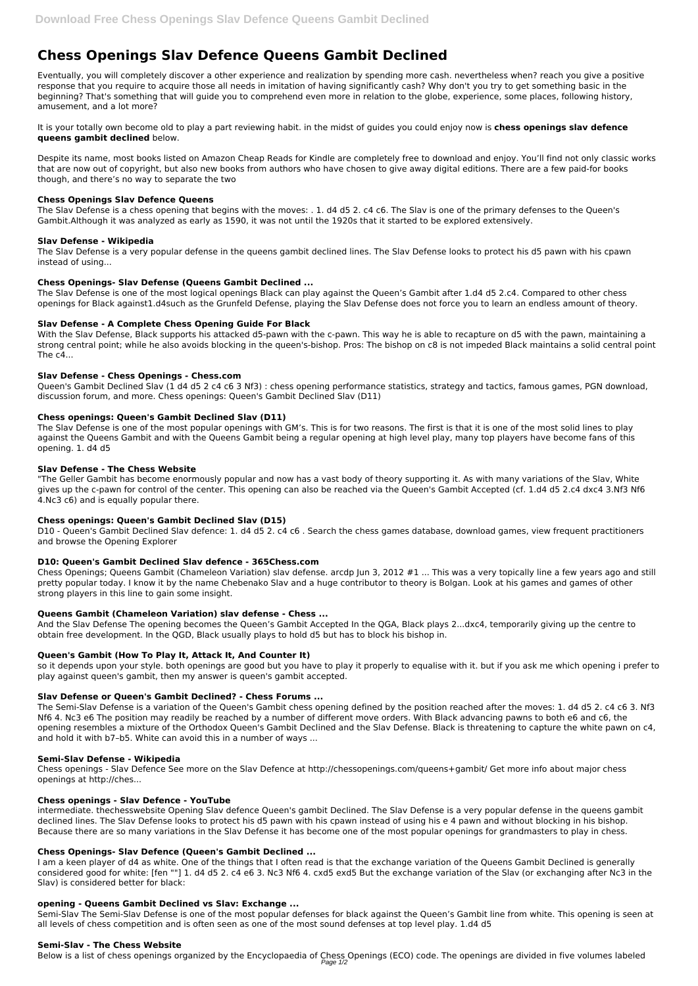# **Chess Openings Slav Defence Queens Gambit Declined**

Eventually, you will completely discover a other experience and realization by spending more cash. nevertheless when? reach you give a positive response that you require to acquire those all needs in imitation of having significantly cash? Why don't you try to get something basic in the beginning? That's something that will guide you to comprehend even more in relation to the globe, experience, some places, following history, amusement, and a lot more?

It is your totally own become old to play a part reviewing habit. in the midst of guides you could enjoy now is **chess openings slav defence queens gambit declined** below.

Despite its name, most books listed on Amazon Cheap Reads for Kindle are completely free to download and enjoy. You'll find not only classic works that are now out of copyright, but also new books from authors who have chosen to give away digital editions. There are a few paid-for books though, and there's no way to separate the two

## **Chess Openings Slav Defence Queens**

The Slav Defense is a chess opening that begins with the moves: . 1. d4 d5 2. c4 c6. The Slav is one of the primary defenses to the Queen's Gambit.Although it was analyzed as early as 1590, it was not until the 1920s that it started to be explored extensively.

# **Slav Defense - Wikipedia**

The Slav Defense is a very popular defense in the queens gambit declined lines. The Slav Defense looks to protect his d5 pawn with his cpawn instead of using...

# **Chess Openings- Slav Defense (Queens Gambit Declined ...**

The Slav Defense is one of the most logical openings Black can play against the Queen's Gambit after 1.d4 d5 2.c4. Compared to other chess openings for Black against1.d4such as the Grunfeld Defense, playing the Slav Defense does not force you to learn an endless amount of theory.

# **Slav Defense - A Complete Chess Opening Guide For Black**

With the Slav Defense, Black supports his attacked d5-pawn with the c-pawn. This way he is able to recapture on d5 with the pawn, maintaining a strong central point; while he also avoids blocking in the queen's-bishop. Pros: The bishop on c8 is not impeded Black maintains a solid central point The  $c4...$ 

## **Slav Defense - Chess Openings - Chess.com**

Queen's Gambit Declined Slav (1 d4 d5 2 c4 c6 3 Nf3) : chess opening performance statistics, strategy and tactics, famous games, PGN download, discussion forum, and more. Chess openings: Queen's Gambit Declined Slav (D11)

# **Chess openings: Queen's Gambit Declined Slav (D11)**

The Slav Defense is one of the most popular openings with GM's. This is for two reasons. The first is that it is one of the most solid lines to play against the Queens Gambit and with the Queens Gambit being a regular opening at high level play, many top players have become fans of this opening. 1. d4 d5

## **Slav Defense - The Chess Website**

I am a keen player of d4 as white. One of the things that I often read is that the exchange variation of the Queens Gambit Declined is generally considered good for white: [fen ""] 1. d4 d5 2. c4 e6 3. Nc3 Nf6 4. cxd5 exd5 But the exchange variation of the Slav (or exchanging after Nc3 in the Slav) is considered better for black:

"The Geller Gambit has become enormously popular and now has a vast body of theory supporting it. As with many variations of the Slav, White gives up the c-pawn for control of the center. This opening can also be reached via the Queen's Gambit Accepted (cf. 1.d4 d5 2.c4 dxc4 3.Nf3 Nf6 4.Nc3 c6) and is equally popular there.

## **Chess openings: Queen's Gambit Declined Slav (D15)**

D10 - Queen's Gambit Declined Slav defence: 1. d4 d5 2. c4 c6 . Search the chess games database, download games, view frequent practitioners and browse the Opening Explorer

## **D10: Queen's Gambit Declined Slav defence - 365Chess.com**

Chess Openings; Queens Gambit (Chameleon Variation) slav defense. arcdp Jun 3, 2012 #1 ... This was a very topically line a few years ago and still pretty popular today. I know it by the name Chebenako Slav and a huge contributor to theory is Bolgan. Look at his games and games of other strong players in this line to gain some insight.

## **Queens Gambit (Chameleon Variation) slav defense - Chess ...**

And the Slav Defense The opening becomes the Queen's Gambit Accepted In the QGA, Black plays 2...dxc4, temporarily giving up the centre to obtain free development. In the QGD, Black usually plays to hold d5 but has to block his bishop in.

# **Queen's Gambit (How To Play It, Attack It, And Counter It)**

so it depends upon your style. both openings are good but you have to play it properly to equalise with it. but if you ask me which opening i prefer to play against queen's gambit, then my answer is queen's gambit accepted.

## **Slav Defense or Queen's Gambit Declined? - Chess Forums ...**

The Semi-Slav Defense is a variation of the Queen's Gambit chess opening defined by the position reached after the moves: 1. d4 d5 2. c4 c6 3. Nf3 Nf6 4. Nc3 e6 The position may readily be reached by a number of different move orders. With Black advancing pawns to both e6 and c6, the opening resembles a mixture of the Orthodox Queen's Gambit Declined and the Slav Defense. Black is threatening to capture the white pawn on c4, and hold it with b7–b5. White can avoid this in a number of ways ...

#### **Semi-Slav Defense - Wikipedia**

Chess openings - Slav Defence See more on the Slav Defence at http://chessopenings.com/queens+gambit/ Get more info about major chess openings at http://ches...

#### **Chess openings - Slav Defence - YouTube**

intermediate. thechesswebsite Opening Slav defence Queen's gambit Declined. The Slav Defense is a very popular defense in the queens gambit declined lines. The Slav Defense looks to protect his d5 pawn with his cpawn instead of using his e 4 pawn and without blocking in his bishop. Because there are so many variations in the Slav Defense it has become one of the most popular openings for grandmasters to play in chess.

#### **Chess Openings- Slav Defence (Queen's Gambit Declined ...**

#### **opening - Queens Gambit Declined vs Slav: Exchange ...**

Semi-Slav The Semi-Slav Defense is one of the most popular defenses for black against the Queen's Gambit line from white. This opening is seen at all levels of chess competition and is often seen as one of the most sound defenses at top level play. 1.d4 d5

#### **Semi-Slav - The Chess Website**

Below is a list of chess openings organized by the Encyclopaedia of Chess Openings (ECO) code. The openings are divided in five volumes labeled Page 1/2